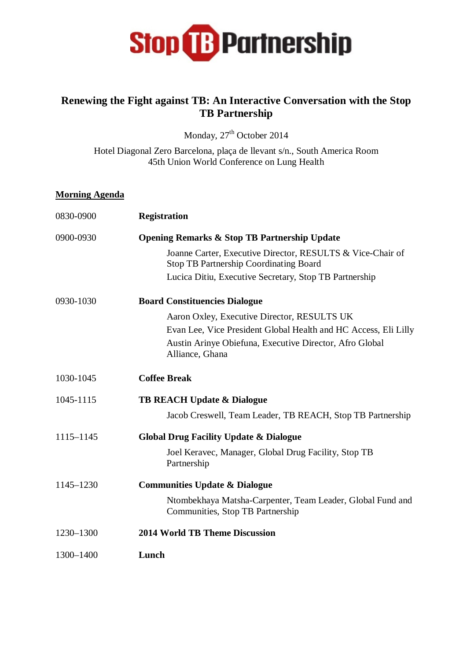

## **Renewing the Fight against TB: An Interactive Conversation with the Stop TB Partnership**

Monday,  $27<sup>th</sup>$  October 2014

Hotel Diagonal Zero Barcelona, plaça de llevant s/n., South America Room 45th Union World Conference on Lung Health

## **Morning Agenda**

| 0830-0900 | <b>Registration</b>                                                                                         |
|-----------|-------------------------------------------------------------------------------------------------------------|
| 0900-0930 | <b>Opening Remarks &amp; Stop TB Partnership Update</b>                                                     |
|           | Joanne Carter, Executive Director, RESULTS & Vice-Chair of<br><b>Stop TB Partnership Coordinating Board</b> |
|           | Lucica Ditiu, Executive Secretary, Stop TB Partnership                                                      |
| 0930-1030 | <b>Board Constituencies Dialogue</b>                                                                        |
|           | Aaron Oxley, Executive Director, RESULTS UK                                                                 |
|           | Evan Lee, Vice President Global Health and HC Access, Eli Lilly                                             |
|           | Austin Arinye Obiefuna, Executive Director, Afro Global<br>Alliance, Ghana                                  |
| 1030-1045 | <b>Coffee Break</b>                                                                                         |
| 1045-1115 | <b>TB REACH Update &amp; Dialogue</b>                                                                       |
|           | Jacob Creswell, Team Leader, TB REACH, Stop TB Partnership                                                  |
| 1115-1145 | <b>Global Drug Facility Update &amp; Dialogue</b>                                                           |
|           | Joel Keravec, Manager, Global Drug Facility, Stop TB<br>Partnership                                         |
| 1145-1230 | <b>Communities Update &amp; Dialogue</b>                                                                    |
|           | Ntombekhaya Matsha-Carpenter, Team Leader, Global Fund and<br>Communities, Stop TB Partnership              |
| 1230-1300 | <b>2014 World TB Theme Discussion</b>                                                                       |
| 1300-1400 | Lunch                                                                                                       |